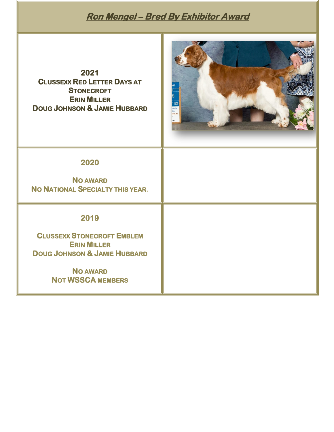# **Ron Mengel – Bred By Exhibitor Award**

**2021 CLUSSEXX RED LETTER DAYS AT STONECROFT ERIN MILLER DOUG JOHNSON & JAMIE HUBBARD** 



#### **2020**

**NO AWARD NO NATIONAL SPECIALTY THIS YEAR.** 

### **2019**

**CLUSSEXX STONECROFT EMBLEM ERIN MILLER DOUG JOHNSON & JAMIE HUBBARD** 

> **NO AWARD NOT WSSCA MEMBERS**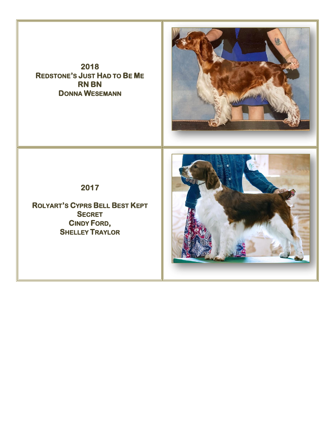**2018 REDSTONE'S JUST HAD TO BE ME RN BN DONNA WESEMANN** 



**2017** 

**ROLYART'S CYPRS BELL BEST KEPT SECRET CINDY FORD, SHELLEY TRAYLOR** 

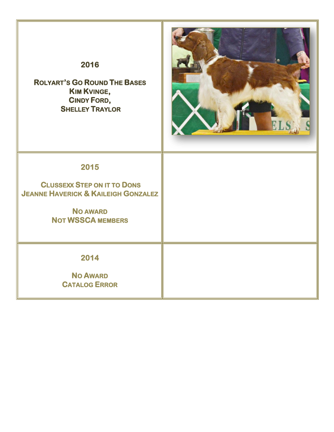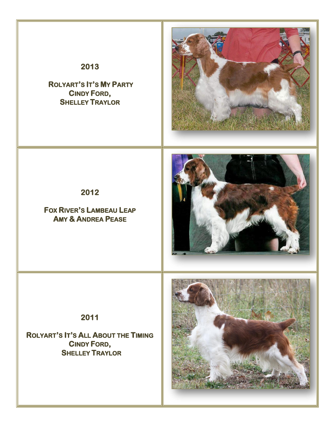

 **ROLYART'S IT'S MY PARTY CINDY FORD, SHELLEY TRAYLOR** 



**2012** 

**FOX RIVER'S LAMBEAU LEAP AMY & ANDREA PEASE** 



**2011** 

**ROLYART'S IT'S ALL ABOUT THE TIMING CINDY FORD, SHELLEY TRAYLOR** 

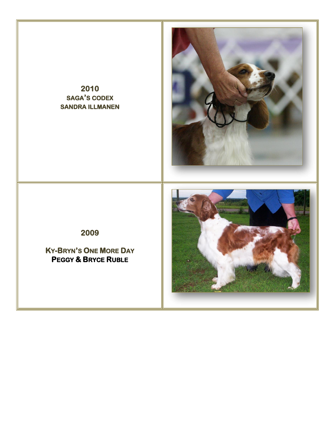## **2010 SAGA'S CODEX SANDRA ILLMANEN**



**2009** 

**KY-BRYN'S ONE MORE DAY PEGGY & BRYCE RUBLE**